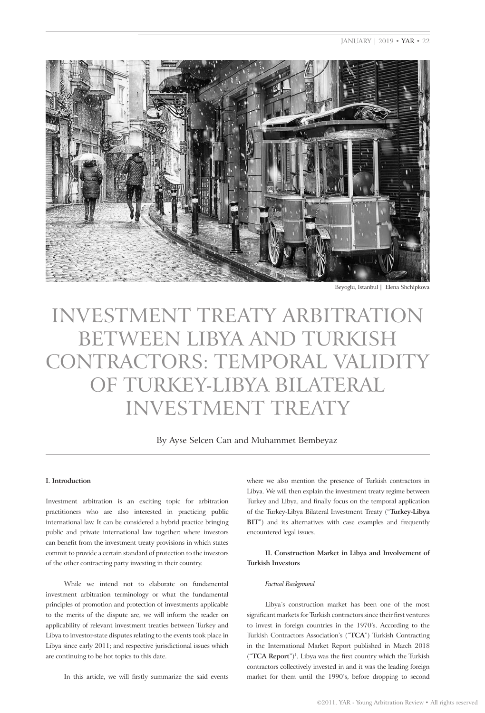JANUARY | 2019 • YAR • 22



Beyoglu, Istanbul | Elena Shchipkova

# INVESTMENT TREATY ARBITRATION BETWEEN LIBYA AND TURKISH CONTRACTORS: TEMPORAL VALIDITY OF TURKEY-LIBYA BILATERAL INVESTMENT TREATY

By Ayse Selcen Can and Muhammet Bembeyaz

## **I. Introduction**

Investment arbitration is an exciting topic for arbitration practitioners who are also interested in practicing public international law. It can be considered a hybrid practice bringing public and private international law together: where investors can benefit from the investment treaty provisions in which states commit to provide a certain standard of protection to the investors of the other contracting party investing in their country.

While we intend not to elaborate on fundamental investment arbitration terminology or what the fundamental principles of promotion and protection of investments applicable to the merits of the dispute are, we will inform the reader on applicability of relevant investment treaties between Turkey and Libya to investor-state disputes relating to the events took place in Libya since early 2011; and respective jurisdictional issues which are continuing to be hot topics to this date.

where we also mention the presence of Turkish contractors in Libya. We will then explain the investment treaty regime between Turkey and Libya, and finally focus on the temporal application of the Turkey-Libya Bilateral Investment Treaty ("**Turkey-Libya BIT**") and its alternatives with case examples and frequently encountered legal issues.

**II. Construction Market in Libya and Involvement of Turkish Investors**

## *Factual Background*

Libya's construction market has been one of the most significant markets for Turkish contractors since their first ventures to invest in foreign countries in the 1970's. According to the Turkish Contractors Association's ("**TCA**") Turkish Contracting in the International Market Report published in March 2018 ("**TCA Report**")<sup>1</sup>, Libya was the first country which the Turkish contractors collectively invested in and it was the leading foreign market for them until the 1990's, before dropping to second

In this article, we will firstly summarize the said events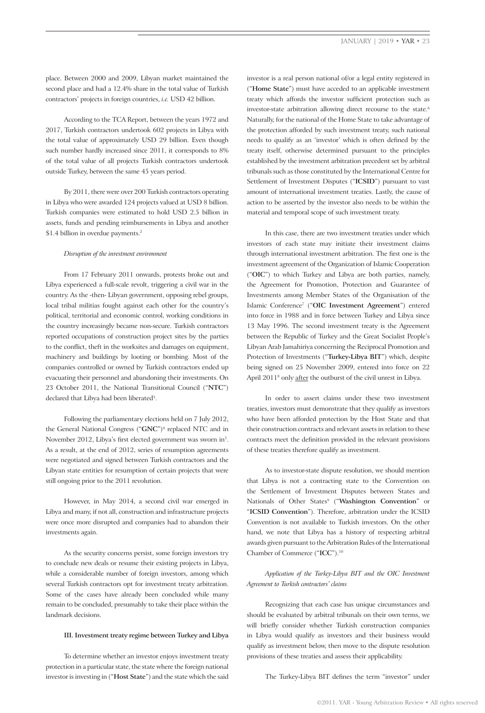place. Between 2000 and 2009, Libyan market maintained the second place and had a 12.4% share in the total value of Turkish contractors' projects in foreign countries, *i.e.* USD 42 billion.

According to the TCA Report, between the years 1972 and 2017, Turkish contractors undertook 602 projects in Libya with the total value of approximately USD 29 billion. Even though such number hardly increased since 2011, it corresponds to 8% of the total value of all projects Turkish contractors undertook outside Turkey, between the same 45 years period.

By 2011, there were over 200 Turkish contractors operating in Libya who were awarded 124 projects valued at USD 8 billion. Turkish companies were estimated to hold USD 2.5 billion in assets, funds and pending reimbursements in Libya and another \$1.4 billion in overdue payments.<sup>2</sup>

### *Disruption of the investment environment*

From 17 February 2011 onwards, protests broke out and Libya experienced a full-scale revolt, triggering a civil war in the country. As the -then- Libyan government, opposing rebel groups, local tribal militias fought against each other for the country's political, territorial and economic control, working conditions in the country increasingly became non-secure. Turkish contractors reported occupations of construction project sites by the parties to the conflict, theft in the worksites and damages on equipment, machinery and buildings by looting or bombing. Most of the companies controlled or owned by Turkish contractors ended up evacuating their personnel and abandoning their investments. On 23 October 2011, the National Transitional Council ("**NTC**") declared that Libya had been liberated<sup>3</sup>.

Following the parliamentary elections held on 7 July 2012, the General National Congress ("**GNC**")4 replaced NTC and in November 2012, Libya's first elected government was sworn in5. As a result, at the end of 2012, series of resumption agreements were negotiated and signed between Turkish contractors and the Libyan state entities for resumption of certain projects that were still ongoing prior to the 2011 revolution.

However, in May 2014, a second civil war emerged in Libya and many, if not all, construction and infrastructure projects were once more disrupted and companies had to abandon their investments again.

As the security concerns persist, some foreign investors try to conclude new deals or resume their existing projects in Libya, while a considerable number of foreign investors, among which several Turkish contractors opt for investment treaty arbitration. Some of the cases have already been concluded while many remain to be concluded, presumably to take their place within the landmark decisions.

#### **III. Investment treaty regime between Turkey and Libya**

To determine whether an investor enjoys investment treaty protection in a particular state, the state where the foreign national investor is investing in ("**Host State**") and the state which the said

investor is a real person national of/or a legal entity registered in ("**Home State**") must have acceded to an applicable investment treaty which affords the investor sufficient protection such as investor-state arbitration allowing direct recourse to the state.<sup>6</sup> Naturally, for the national of the Home State to take advantage of the protection afforded by such investment treaty, such national needs to qualify as an 'investor' which is often defined by the treaty itself, otherwise determined pursuant to the principles established by the investment arbitration precedent set by arbitral tribunals such as those constituted by the International Centre for Settlement of Investment Disputes ("**ICSID**") pursuant to vast amount of international investment treaties. Lastly, the cause of action to be asserted by the investor also needs to be within the material and temporal scope of such investment treaty.

In this case, there are two investment treaties under which investors of each state may initiate their investment claims through international investment arbitration. The first one is the investment agreement of the Organization of Islamic Cooperation ("**OIC**") to which Turkey and Libya are both parties, namely, the Agreement for Promotion, Protection and Guarantee of Investments among Member States of the Organisation of the Islamic Conference<sup>7</sup> ("**OIC Investment Agreement**") entered into force in 1988 and in force between Turkey and Libya since 13 May 1996. The second investment treaty is the Agreement between the Republic of Turkey and the Great Socialist People's Libyan Arab Jamahiriya concerning the Reciprocal Promotion and Protection of Investments ("**Turkey-Libya BIT**") which, despite being signed on 25 November 2009, entered into force on 22 April 2011<sup>8</sup> only after the outburst of the civil unrest in Libya.

In order to assert claims under these two investment treaties, investors must demonstrate that they qualify as investors who have been afforded protection by the Host State and that their construction contracts and relevant assets in relation to these contracts meet the definition provided in the relevant provisions of these treaties therefore qualify as investment.

As to investor-state dispute resolution, we should mention that Libya is not a contracting state to the Convention on the Settlement of Investment Disputes between States and Nationals of Other States<sup>9</sup> ("Washington Convention" or "**ICSID Convention**"). Therefore, arbitration under the ICSID Convention is not available to Turkish investors. On the other hand, we note that Libya has a history of respecting arbitral awards given pursuant to the Arbitration Rules of the International Chamber of Commerce ("**ICC**").<sup>10</sup>

*Application of the Turkey-Libya BIT and the OIC Investment Agreement to Turkish contractors' claims*

Recognizing that each case has unique circumstances and should be evaluated by arbitral tribunals on their own terms, we will briefly consider whether Turkish construction companies in Libya would qualify as investors and their business would qualify as investment below, then move to the dispute resolution provisions of these treaties and assess their applicability.

The Turkey-Libya BIT defines the term "investor" under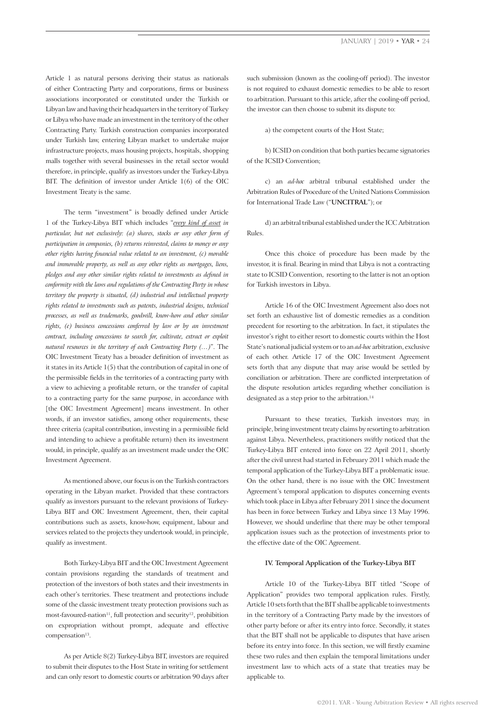Article 1 as natural persons deriving their status as nationals of either Contracting Party and corporations, firms or business associations incorporated or constituted under the Turkish or Libyan law and having their headquarters in the territory of Turkey or Libya who have made an investment in the territory of the other Contracting Party. Turkish construction companies incorporated under Turkish law, entering Libyan market to undertake major infrastructure projects, mass housing projects, hospitals, shopping malls together with several businesses in the retail sector would therefore, in principle, qualify as investors under the Turkey-Libya BIT. The definition of investor under Article 1(6) of the OIC Investment Treaty is the same.

The term "investment" is broadly defined under Article 1 of the Turkey-Libya BIT which includes "*every kind of asset in particular, but not exclusively: (a) shares, stocks or any other form of participation in companies, (b) returns reinvested, claims to money or any other rights having financial value related to an investment, (c) movable and immovable property, as well as any other rights as mortgages, liens, pledges and any other similar rights related to investments as defined in conformity with the laws and regulations of the Contracting Party in whose territory the property is situated, (d) industrial and intellectual property rights related to investments such as patents, industrial designs, technical processes, as well as trademarks, goodwill, know-how and other similar rights, (e) business concessions conferred by law or by an investment contract, including concessions to search for, cultivate, extract or exploit natural resources in the territory of each Contracting Party (…)*". The OIC Investment Treaty has a broader definition of investment as it states in its Article 1(5) that the contribution of capital in one of the permissible fields in the territories of a contracting party with a view to achieving a profitable return, or the transfer of capital to a contracting party for the same purpose, in accordance with [the OIC Investment Agreement] means investment. In other words, if an investor satisfies, among other requirements, these three criteria (capital contribution, investing in a permissible field and intending to achieve a profitable return) then its investment would, in principle, qualify as an investment made under the OIC Investment Agreement.

As mentioned above, our focus is on the Turkish contractors operating in the Libyan market. Provided that these contractors qualify as investors pursuant to the relevant provisions of Turkey-Libya BIT and OIC Investment Agreement, then, their capital contributions such as assets, know-how, equipment, labour and services related to the projects they undertook would, in principle, qualify as investment.

Both Turkey-Libya BIT and the OIC Investment Agreement contain provisions regarding the standards of treatment and protection of the investors of both states and their investments in each other's territories. These treatment and protections include some of the classic investment treaty protection provisions such as most-favoured-nation<sup>11</sup>, full protection and security<sup>12</sup>, prohibition on expropriation without prompt, adequate and effective compensation<sup>13</sup>.

As per Article 8(2) Turkey-Libya BIT, investors are required to submit their disputes to the Host State in writing for settlement and can only resort to domestic courts or arbitration 90 days after

such submission (known as the cooling-off period). The investor is not required to exhaust domestic remedies to be able to resort to arbitration. Pursuant to this article, after the cooling-off period, the investor can then choose to submit its dispute to:

a) the competent courts of the Host State;

b) ICSID on condition that both parties became signatories of the ICSID Convention;

c) an *ad-hoc* arbitral tribunal established under the Arbitration Rules of Procedure of the United Nations Commission for International Trade Law ("**UNCITRAL**"); or

d) an arbitral tribunal established under the ICC Arbitration Rules.

Once this choice of procedure has been made by the investor, it is final. Bearing in mind that Libya is not a contracting state to ICSID Convention, resorting to the latter is not an option for Turkish investors in Libya.

Article 16 of the OIC Investment Agreement also does not set forth an exhaustive list of domestic remedies as a condition precedent for resorting to the arbitration. In fact, it stipulates the investor's right to either resort to domestic courts within the Host State's national judicial system or to an *ad-hoc* arbitration, exclusive of each other. Article 17 of the OIC Investment Agreement sets forth that any dispute that may arise would be settled by conciliation or arbitration. There are conflicted interpretation of the dispute resolution articles regarding whether conciliation is designated as a step prior to the arbitration.<sup>14</sup>

Pursuant to these treaties, Turkish investors may, in principle, bring investment treaty claims by resorting to arbitration against Libya. Nevertheless, practitioners swiftly noticed that the Turkey-Libya BIT entered into force on 22 April 2011, shortly after the civil unrest had started in February 2011 which made the temporal application of the Turkey-Libya BIT a problematic issue. On the other hand, there is no issue with the OIC Investment Agreement's temporal application to disputes concerning events which took place in Libya after February 2011 since the document has been in force between Turkey and Libya since 13 May 1996. However, we should underline that there may be other temporal application issues such as the protection of investments prior to the effective date of the OIC Agreement.

### **IV. Temporal Application of the Turkey-Libya BIT**

Article 10 of the Turkey-Libya BIT titled "Scope of Application" provides two temporal application rules. Firstly, Article 10 sets forth that the BIT shall be applicable to investments in the territory of a Contracting Party made by the investors of other party before or after its entry into force. Secondly, it states that the BIT shall not be applicable to disputes that have arisen before its entry into force. In this section, we will firstly examine these two rules and then explain the temporal limitations under investment law to which acts of a state that treaties may be applicable to.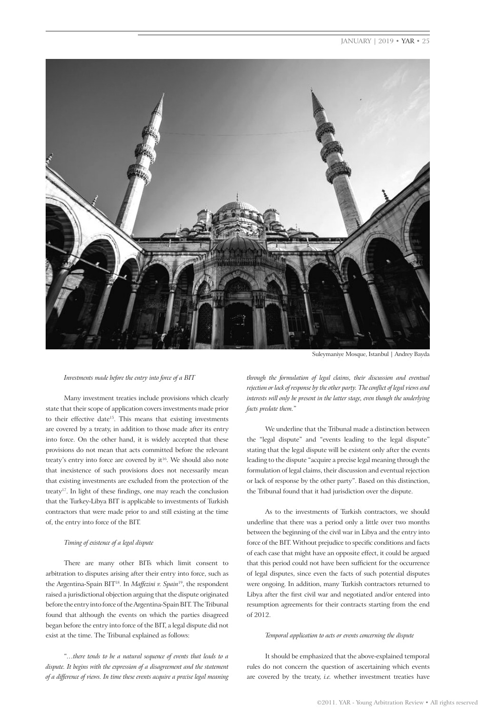# JANUARY | 2019 • YAR • 25



#### *Investments made before the entry into force of a BIT*

Many investment treaties include provisions which clearly state that their scope of application covers investments made prior to their effective date<sup>15</sup>. This means that existing investments are covered by a treaty, in addition to those made after its entry into force. On the other hand, it is widely accepted that these provisions do not mean that acts committed before the relevant treaty's entry into force are covered by it<sup>16</sup>. We should also note that inexistence of such provisions does not necessarily mean that existing investments are excluded from the protection of the treaty<sup>17</sup>. In light of these findings, one may reach the conclusion that the Turkey-Libya BIT is applicable to investments of Turkish contractors that were made prior to and still existing at the time of, the entry into force of the BIT.

## *Timing of existence of a legal dispute*

There are many other BITs which limit consent to arbitration to disputes arising after their entry into force, such as the Argentina-Spain BIT18. In *Maffezini v. Spain*<sup>19</sup>, the respondent raised a jurisdictional objection arguing that the dispute originated before the entry into force of the Argentina-Spain BIT. The Tribunal found that although the events on which the parties disagreed began before the entry into force of the BIT, a legal dispute did not exist at the time. The Tribunal explained as follows:

"*…there tends to be a natural sequence of events that leads to a dispute. It begins with the expression of a disagreement and the statement of a difference of views. In time these events acquire a precise legal meaning* 

Suleymaniye Mosque, Istanbul | Andrey Bayda

*through the formulation of legal claims, their discussion and eventual rejection or lack of response by the other party. The conflict of legal views and interests will only be present in the latter stage, even though the underlying facts predate them.*"

We underline that the Tribunal made a distinction between the "legal dispute" and "events leading to the legal dispute" stating that the legal dispute will be existent only after the events leading to the dispute "acquire a precise legal meaning through the formulation of legal claims, their discussion and eventual rejection or lack of response by the other party". Based on this distinction, the Tribunal found that it had jurisdiction over the dispute.

As to the investments of Turkish contractors, we should underline that there was a period only a little over two months between the beginning of the civil war in Libya and the entry into force of the BIT. Without prejudice to specific conditions and facts of each case that might have an opposite effect, it could be argued that this period could not have been sufficient for the occurrence of legal disputes, since even the facts of such potential disputes were ongoing. In addition, many Turkish contractors returned to Libya after the first civil war and negotiated and/or entered into resumption agreements for their contracts starting from the end of 2012.

#### *Temporal application to acts or events concerning the dispute*

It should be emphasized that the above-explained temporal rules do not concern the question of ascertaining which events are covered by the treaty, *i.e.* whether investment treaties have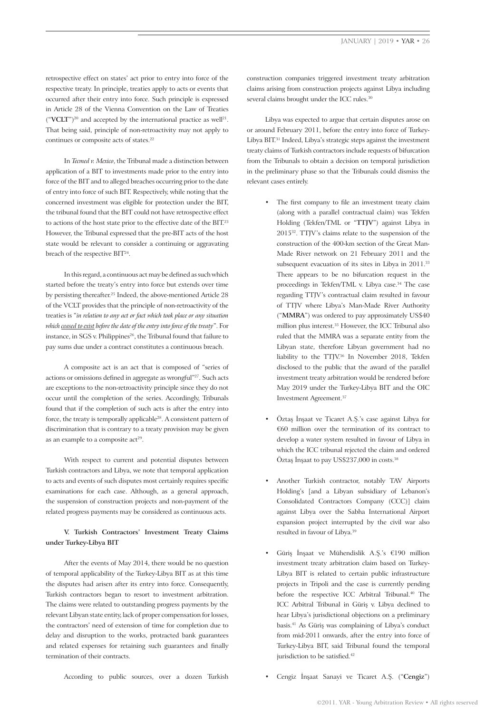retrospective effect on states' act prior to entry into force of the respective treaty. In principle, treaties apply to acts or events that occurred after their entry into force. Such principle is expressed in Article 28 of the Vienna Convention on the Law of Treaties  $({\bf "VCLT"})^{20}$  and accepted by the international practice as well<sup>21</sup>. That being said, principle of non-retroactivity may not apply to continues or composite acts of states.<sup>22</sup>

In *Tecmed v. Mexico*, the Tribunal made a distinction between application of a BIT to investments made prior to the entry into force of the BIT and to alleged breaches occurring prior to the date of entry into force of such BIT. Respectively, while noting that the concerned investment was eligible for protection under the BIT, the tribunal found that the BIT could not have retrospective effect to actions of the host state prior to the effective date of the BIT.<sup>23</sup> However, the Tribunal expressed that the pre-BIT acts of the host state would be relevant to consider a continuing or aggravating breach of the respective BIT<sup>24</sup>.

In this regard, a continuous act may be defined as such which started before the treaty's entry into force but extends over time by persisting thereafter.25 Indeed, the above-mentioned Article 28 of the VCLT provides that the principle of non-retroactivity of the treaties is "*in relation to any act or fact which took place or any situation which ceased to exist before the date of the entry into force of the treaty*". For instance, in SGS v. Philippines<sup>26</sup>, the Tribunal found that failure to pay sums due under a contract constitutes a continuous breach.

A composite act is an act that is composed of "series of actions or omissions defined in aggregate as wrongful"<sup>27</sup>. Such acts are exceptions to the non-retroactivity principle since they do not occur until the completion of the series. Accordingly, Tribunals found that if the completion of such acts is after the entry into force, the treaty is temporally applicable<sup>28</sup>. A consistent pattern of discrimination that is contrary to a treaty provision may be given as an example to a composite  $act<sup>29</sup>$ .

With respect to current and potential disputes between Turkish contractors and Libya, we note that temporal application to acts and events of such disputes most certainly requires specific examinations for each case. Although, as a general approach, the suspension of construction projects and non-payment of the related progress payments may be considered as continuous acts.

# **V. Turkish Contractors' Investment Treaty Claims under Turkey-Libya BIT**

After the events of May 2014, there would be no question of temporal applicability of the Turkey-Libya BIT as at this time the disputes had arisen after its entry into force. Consequently, Turkish contractors began to resort to investment arbitration. The claims were related to outstanding progress payments by the relevant Libyan state entity, lack of proper compensation for losses, the contractors' need of extension of time for completion due to delay and disruption to the works, protracted bank guarantees and related expenses for retaining such guarantees and finally termination of their contracts.

construction companies triggered investment treaty arbitration claims arising from construction projects against Libya including several claims brought under the ICC rules.<sup>30</sup>

Libya was expected to argue that certain disputes arose on or around February 2011, before the entry into force of Turkey-Libya BIT.<sup>31</sup> Indeed, Libya's strategic steps against the investment treaty claims of Turkish contractors include requests of bifurcation from the Tribunals to obtain a decision on temporal jurisdiction in the preliminary phase so that the Tribunals could dismiss the relevant cases entirely.

- The first company to file an investment treaty claim (along with a parallel contractual claim) was Tekfen Holding (Tekfen/TML or "**TTJV**") against Libya in 2015<sup>32</sup>. TTJV's claims relate to the suspension of the construction of the 400-km section of the Great Man-Made River network on 21 February 2011 and the subsequent evacuation of its sites in Libya in 2011.<sup>33</sup> There appears to be no bifurcation request in the proceedings in Tekfen/TML v. Libya case.<sup>34</sup> The case regarding TTJV's contractual claim resulted in favour of TTJV where Libya's Man-Made River Authority ("**MMRA**") was ordered to pay approximately US\$40 million plus interest.<sup>35</sup> However, the ICC Tribunal also ruled that the MMRA was a separate entity from the Libyan state, therefore Libyan government had no liability to the TTJV.<sup>36</sup> In November 2018, Tekfen disclosed to the public that the award of the parallel investment treaty arbitration would be rendered before May 2019 under the Turkey-Libya BIT and the OIC Investment Agreement.<sup>37</sup>
- Öztaş İnşaat ve Ticaret A.Ş.'s case against Libya for €60 million over the termination of its contract to develop a water system resulted in favour of Libya in which the ICC tribunal rejected the claim and ordered Öztaş İnşaat to pay US\$237,000 in costs.38
- Another Turkish contractor, notably TAV Airports Holding's [and a Libyan subsidiary of Lebanon's Consolidated Contractors Company (CCC)] claim against Libya over the Sabha International Airport expansion project interrupted by the civil war also resulted in favour of Libya.<sup>39</sup>
- Güriş İnşaat ve Mühendislik A.Ş.'s €190 million investment treaty arbitration claim based on Turkey-Libya BIT is related to certain public infrastructure projects in Tripoli and the case is currently pending before the respective ICC Arbitral Tribunal.<sup>40</sup> The ICC Arbitral Tribunal in Güriş v. Libya declined to hear Libya's jurisdictional objections on a preliminary basis.41 As Güriş was complaining of Libya's conduct from mid-2011 onwards, after the entry into force of Turkey-Libya BIT, said Tribunal found the temporal jurisdiction to be satisfied.<sup>42</sup>
- Cengiz İnşaat Sanayi ve Ticaret A.Ş. ("**Cengiz**")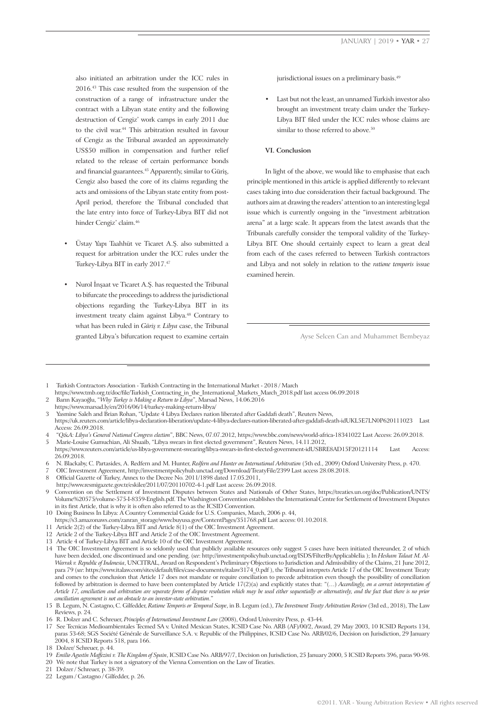also initiated an arbitration under the ICC rules in 2016.43 This case resulted from the suspension of the construction of a range of infrastructure under the contract with a Libyan state entity and the following destruction of Cengiz' work camps in early 2011 due to the civil war.<sup>44</sup> This arbitration resulted in favour of Cengiz as the Tribunal awarded an approximately US\$50 million in compensation and further relief related to the release of certain performance bonds and financial guarantees.<sup>45</sup> Apparently, similar to Güriş, Cengiz also based the core of its claims regarding the acts and omissions of the Libyan state entity from post-April period, therefore the Tribunal concluded that the late entry into force of Turkey-Libya BIT did not hinder Cengiz' claim.46

- Üstay Yapı Taahhüt ve Ticaret A.Ş. also submitted a request for arbitration under the ICC rules under the Turkey-Libya BIT in early 2017.47
- Nurol İnşaat ve Ticaret A.Ş. has requested the Tribunal to bifurcate the proceedings to address the jurisdictional objections regarding the Turkey-Libya BIT in its investment treaty claim against Libya.<sup>48</sup> Contrary to what has been ruled in *Güriş v. Libya* case, the Tribunal granted Libya's bifurcation request to examine certain

jurisdictional issues on a preliminary basis.<sup>49</sup>

Last but not the least, an unnamed Turkish investor also brought an investment treaty claim under the Turkey-Libya BIT filed under the ICC rules whose claims are similar to those referred to above.<sup>50</sup>

# **VI. Conclusion**

In light of the above, we would like to emphasise that each principle mentioned in this article is applied differently to relevant cases taking into due consideration their factual background. The authors aim at drawing the readers' attention to an interesting legal issue which is currently ongoing in the "investment arbitration arena" at a large scale. It appears from the latest awards that the Tribunals carefully consider the temporal validity of the Turkey-Libya BIT. One should certainly expect to learn a great deal from each of the cases referred to between Turkish contractors and Libya and not solely in relation to the *ratione temporis* issue examined herein.

Ayse Selcen Can and Muhammet Bembeyaz

- 1 Turkish Contractors Association Turkish Contracting in the International Market 2018 / March
- https://www.tmb.org.tr/doc/file/Turkish\_Contracting\_in\_the\_International\_Markets\_March\_2018.pdf last access 06.09.2018
- 2 Barın Kayaoğlu, "*Why Turkey is Making a Return to Libya*", Marsad News, 14.06.2016 https://www.marsad.ly/en/2016/06/14/turkey-making-return-libya/
- 3 Yasmine Saleh and Brian Rohan, "Update 4 Libya Declares nation liberated after Gaddafi death", Reuters News,

4 "*Q&A: Libya's General National Congress election*", BBC News, 07.07.2012, https://www.bbc.com/news/world-africa-18341022 Last Access: 26.09.2018. 5 Marie-Louise Gumuchian, Ali Shuaib, "Libya swears in first elected government", Reuters News, 14.11.2012,

8 Official Gazette of Turkey, Annex to the Decree No. 2011/1898 dated 17.05.2011,

http://www.resmigazete.gov.tr/eskiler/2011/07/20110702-4-1.pdf Last access: 26.09.2018. 9 Convention on the Settlement of Investment Disputes between States and Nationals of Other States, https://treaties.un.org/doc/Publication/UNTS/ Volume%20575/volume-575-I-8359-English.pdf. The Washington Convention establishes the International Centre for Settlement of Investment Disputes in its first Article, that is why it is often also referred to as the ICSID Convention.

- 10 Doing Business In Libya: A Country Commercial Guide for U.S. Companies, March, 2006 p. 44,
- https://s3.amazonaws.com/zanran\_storage/www.buyusa.gov/ContentPages/351768.pdf Last access: 01.10.2018.
- 11 Article 2(2) of the Turkey-Libya BIT and Article 8(1) of the OIC Investment Agreement.
- 12 Article 2 of the Turkey-Libya BIT and Article 2 of the OIC Investment Agreement.
- 13 Article 4 of Turkey-Libya BIT and Article 10 of the OIC Investment Agreement.

https://uk.reuters.com/article/libya-declaration-liberation/update-4-libya-declares-nation-liberated-after-gaddafi-death-idUKL5E7LN0P620111023 Last Access: 26.09.2018.

https://www.reuters.com/article/us-libya-government-swearing/libya-swears-in-first-elected-government-idUSBRE8AD15F20121114 Last Access: 26.09.2018.

<sup>6</sup> N. Blackaby, C. Partasides, A. Redfern and M. Hunter, *Redfern and Hunter on International Arbitration* (5th ed., 2009) Oxford University Press, p. 470.

<sup>7</sup> OIC Investment Agreement, http://investmentpolicyhub.unctad.org/Download/TreatyFile/2399 Last access 28.08.2018.

<sup>14</sup> The OIC Investment Agreement is so seldomly used that publicly available resources only suggest 5 cases have been initiated thereunder, 2 of which have been decided, one discontinued and one pending. (*see*: http://investmentpolicyhub.unctad.org/ISDS/FilterByApplicableIia ); In *Hesham Talaat M. Al-Warrak v. Republic of Indonesia*, UNCITRAL, Award on Respondent's Preliminary Objections to Jurisdiction and Admissibility of the Claims, 21 June 2012, para 79 (*see*: https://www.italaw.com/sites/default/files/case-documents/italaw3174\_0.pdf ), the Tribunal interprets Article 17 of the OIC Investment Treaty and comes to the conclusion that Article 17 does not mandate or require conciliation to precede arbitration even though the possibility of conciliation followed by arbitration is deemed to have been contemplated by Article 17(2)(a) and explicitly states that: "(...) *Accordingly, on a correct interpretation of Article 17, conciliation and arbitration are separate forms of dispute resolution which may be used either sequentially or alternatively, and the fact that there is no prior conciliation agreement is not an obstacle to an investor-state arbitration*."

<sup>15</sup> B. Legum, N. Castagno, C. Gilfedder, *Ratione Temporis or Temporal Scope*, in B. Legum (ed.), *The Investment Treaty Arbitration Review* (3rd ed., 2018), The Law Reviews, p. 24.

<sup>16</sup> R. Dolzer and C. Schreuer, *Principles of International Investment Law* (2008), Oxford University Press, p. 43-44.

<sup>17</sup> See Tecnicas Medioambientales Tecmed SA v. United Mexican States, ICSID Case No. ARB (AF)/00/2, Award, 29 May 2003, 10 ICSID Reports 134, paras 53-68; SGS Société Générale de Surveillance S.A. v. Republic of the Philippines, ICSID Case No. ARB/02/6, Decision on Jurisdiction, 29 January 2004, 8 ICSID Reports 518, para 166.

<sup>18</sup> Dolzer/ Schreuer, p. 44.

<sup>19</sup> *Emilio Agustín Maffezini v. The Kingdom of Spain*, ICSID Case No. ARB/97/7, Decision on Jurisdiction, 25 January 2000, 5 ICSID Reports 396, paras 90-98.

<sup>20</sup> We note that Turkey is not a signatory of the Vienna Convention on the Law of Treaties.

<sup>21</sup> Dolzer / Schreuer, p. 38-39.

<sup>22</sup> Legum / Castagno / Gilfedder, p. 26.